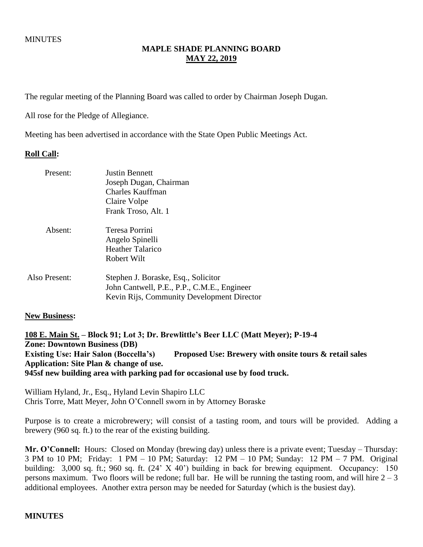# **MAPLE SHADE PLANNING BOARD MAY 22, 2019**

The regular meeting of the Planning Board was called to order by Chairman Joseph Dugan.

All rose for the Pledge of Allegiance.

Meeting has been advertised in accordance with the State Open Public Meetings Act.

#### **Roll Call:**

| Present:      | <b>Justin Bennett</b><br>Joseph Dugan, Chairman<br>Charles Kauffman<br>Claire Volpe<br>Frank Troso, Alt. 1                       |
|---------------|----------------------------------------------------------------------------------------------------------------------------------|
| Absent:       | Teresa Porrini<br>Angelo Spinelli<br><b>Heather Talarico</b><br>Robert Wilt                                                      |
| Also Present: | Stephen J. Boraske, Esq., Solicitor<br>John Cantwell, P.E., P.P., C.M.E., Engineer<br>Kevin Rijs, Community Development Director |

#### **New Business:**

**108 E. Main St. – Block 91; Lot 3; Dr. Brewlittle's Beer LLC (Matt Meyer); P-19-4 Zone: Downtown Business (DB) Existing Use: Hair Salon (Boccella's) Proposed Use: Brewery with onsite tours & retail sales Application: Site Plan & change of use. 945sf new building area with parking pad for occasional use by food truck.**

William Hyland, Jr., Esq., Hyland Levin Shapiro LLC Chris Torre, Matt Meyer, John O'Connell sworn in by Attorney Boraske

Purpose is to create a microbrewery; will consist of a tasting room, and tours will be provided. Adding a brewery (960 sq. ft.) to the rear of the existing building.

**Mr. O'Connell:** Hours: Closed on Monday (brewing day) unless there is a private event; Tuesday – Thursday: 3 PM to 10 PM; Friday: 1 PM – 10 PM; Saturday: 12 PM – 10 PM; Sunday: 12 PM – 7 PM. Original building: 3,000 sq. ft.; 960 sq. ft. (24' X 40') building in back for brewing equipment. Occupancy: 150 persons maximum. Two floors will be redone; full bar. He will be running the tasting room, and will hire  $2 - 3$ additional employees. Another extra person may be needed for Saturday (which is the busiest day).

#### **MINUTES**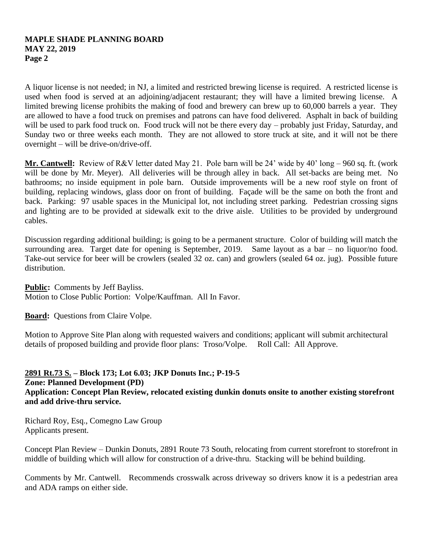# **MAPLE SHADE PLANNING BOARD MAY 22, 2019 Page 2**

A liquor license is not needed; in NJ, a limited and restricted brewing license is required. A restricted license is used when food is served at an adjoining/adjacent restaurant; they will have a limited brewing license. A limited brewing license prohibits the making of food and brewery can brew up to 60,000 barrels a year. They are allowed to have a food truck on premises and patrons can have food delivered. Asphalt in back of building will be used to park food truck on. Food truck will not be there every day – probably just Friday, Saturday, and Sunday two or three weeks each month. They are not allowed to store truck at site, and it will not be there overnight – will be drive-on/drive-off.

**Mr. Cantwell:** Review of R&V letter dated May 21. Pole barn will be 24' wide by 40' long – 960 sq. ft. (work will be done by Mr. Meyer). All deliveries will be through alley in back. All set-backs are being met. No bathrooms; no inside equipment in pole barn. Outside improvements will be a new roof style on front of building, replacing windows, glass door on front of building. Façade will be the same on both the front and back. Parking: 97 usable spaces in the Municipal lot, not including street parking. Pedestrian crossing signs and lighting are to be provided at sidewalk exit to the drive aisle. Utilities to be provided by underground cables.

Discussion regarding additional building; is going to be a permanent structure. Color of building will match the surrounding area. Target date for opening is September, 2019. Same layout as a bar – no liquor/no food. Take-out service for beer will be crowlers (sealed 32 oz. can) and growlers (sealed 64 oz. jug). Possible future distribution.

**Public:** Comments by Jeff Bayliss.

Motion to Close Public Portion: Volpe/Kauffman. All In Favor.

**Board:** Questions from Claire Volpe.

Motion to Approve Site Plan along with requested waivers and conditions; applicant will submit architectural details of proposed building and provide floor plans: Troso/Volpe. Roll Call: All Approve.

# **2891 Rt.73 S. – Block 173; Lot 6.03; JKP Donuts Inc.; P-19-5**

#### **Zone: Planned Development (PD) Application: Concept Plan Review, relocated existing dunkin donuts onsite to another existing storefront and add drive-thru service.**

Richard Roy, Esq., Comegno Law Group Applicants present.

Concept Plan Review – Dunkin Donuts, 2891 Route 73 South, relocating from current storefront to storefront in middle of building which will allow for construction of a drive-thru. Stacking will be behind building.

Comments by Mr. Cantwell. Recommends crosswalk across driveway so drivers know it is a pedestrian area and ADA ramps on either side.